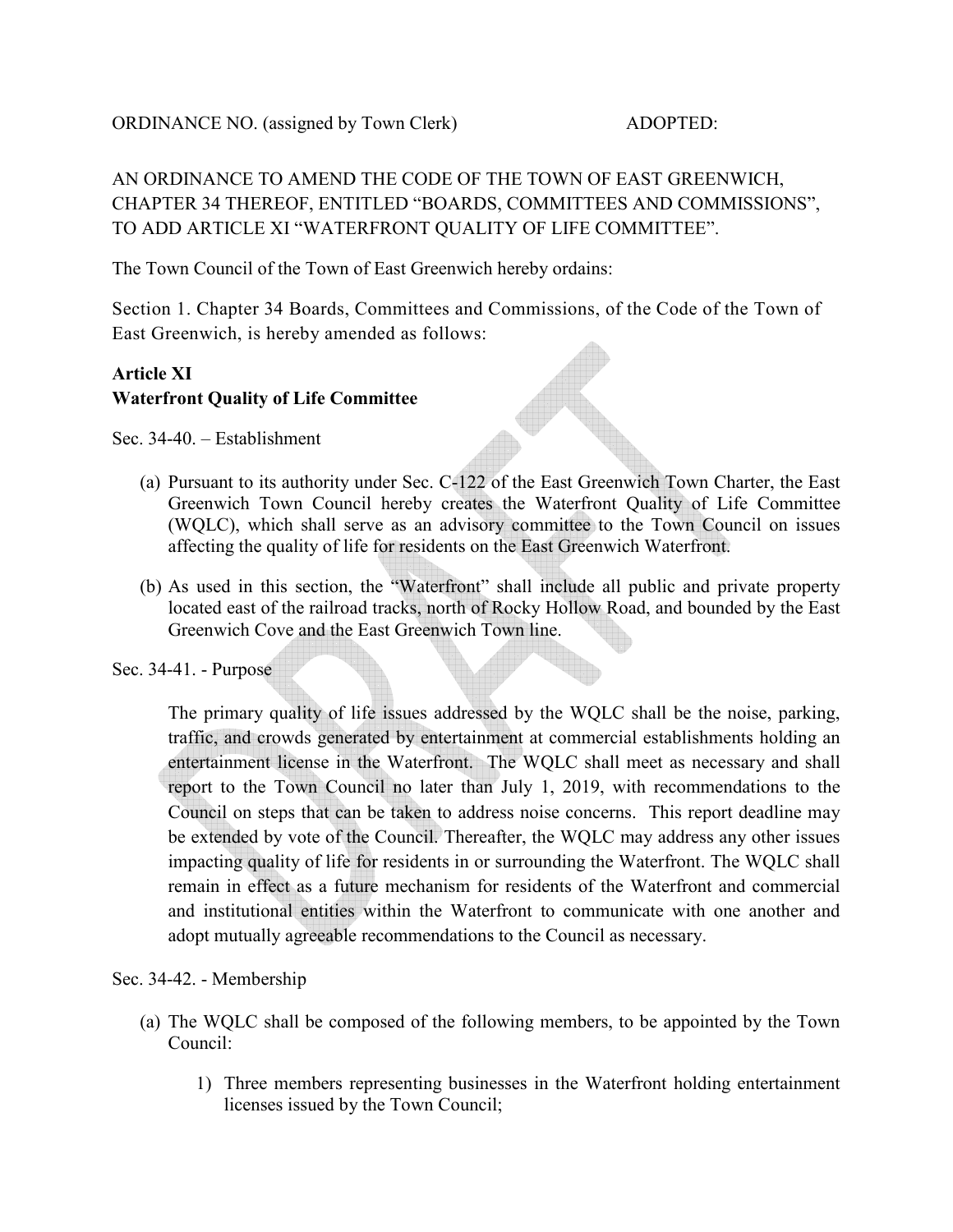# AN ORDINANCE TO AMEND THE CODE OF THE TOWN OF EAST GREENWICH, CHAPTER 34 THEREOF, ENTITLED "BOARDS, COMMITTEES AND COMMISSIONS", TO ADD ARTICLE XI "WATERFRONT QUALITY OF LIFE COMMITTEE".

The Town Council of the Town of East Greenwich hereby ordains:

Section 1. Chapter 34 Boards, Committees and Commissions, of the Code of the Town of East Greenwich, is hereby amended as follows:

## **Article XI Waterfront Quality of Life Committee**

Sec. 34-40. – Establishment

- (a) Pursuant to its authority under Sec. C-122 of the East Greenwich Town Charter, the East Greenwich Town Council hereby creates the Waterfront Quality of Life Committee (WQLC), which shall serve as an advisory committee to the Town Council on issues affecting the quality of life for residents on the East Greenwich Waterfront.
- (b) As used in this section, the "Waterfront" shall include all public and private property located east of the railroad tracks, north of Rocky Hollow Road, and bounded by the East Greenwich Cove and the East Greenwich Town line.
- Sec. 34-41. Purpose

The primary quality of life issues addressed by the WQLC shall be the noise, parking, traffic, and crowds generated by entertainment at commercial establishments holding an entertainment license in the Waterfront. The WQLC shall meet as necessary and shall report to the Town Council no later than July 1, 2019, with recommendations to the Council on steps that can be taken to address noise concerns. This report deadline may be extended by vote of the Council. Thereafter, the WQLC may address any other issues impacting quality of life for residents in or surrounding the Waterfront. The WQLC shall remain in effect as a future mechanism for residents of the Waterfront and commercial and institutional entities within the Waterfront to communicate with one another and adopt mutually agreeable recommendations to the Council as necessary.

### Sec. 34-42. - Membership

- (a) The WQLC shall be composed of the following members, to be appointed by the Town Council:
	- 1) Three members representing businesses in the Waterfront holding entertainment licenses issued by the Town Council;